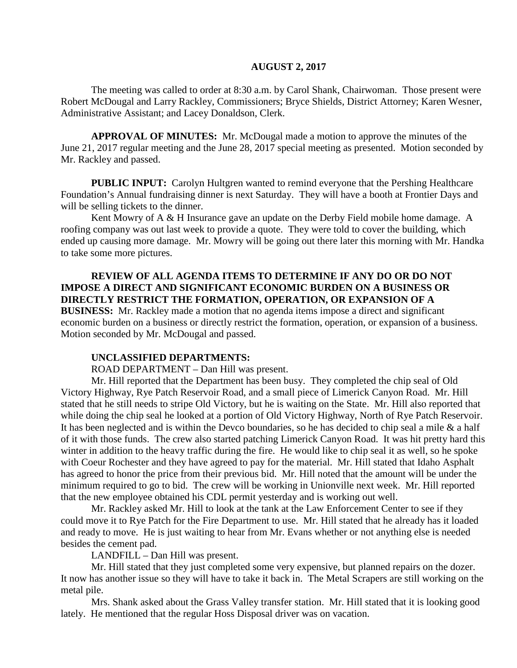#### **AUGUST 2, 2017**

The meeting was called to order at 8:30 a.m. by Carol Shank, Chairwoman. Those present were Robert McDougal and Larry Rackley, Commissioners; Bryce Shields, District Attorney; Karen Wesner, Administrative Assistant; and Lacey Donaldson, Clerk.

**APPROVAL OF MINUTES:** Mr. McDougal made a motion to approve the minutes of the June 21, 2017 regular meeting and the June 28, 2017 special meeting as presented. Motion seconded by Mr. Rackley and passed.

**PUBLIC INPUT:** Carolyn Hultgren wanted to remind everyone that the Pershing Healthcare Foundation's Annual fundraising dinner is next Saturday. They will have a booth at Frontier Days and will be selling tickets to the dinner.

Kent Mowry of A & H Insurance gave an update on the Derby Field mobile home damage. A roofing company was out last week to provide a quote. They were told to cover the building, which ended up causing more damage. Mr. Mowry will be going out there later this morning with Mr. Handka to take some more pictures.

#### **REVIEW OF ALL AGENDA ITEMS TO DETERMINE IF ANY DO OR DO NOT IMPOSE A DIRECT AND SIGNIFICANT ECONOMIC BURDEN ON A BUSINESS OR DIRECTLY RESTRICT THE FORMATION, OPERATION, OR EXPANSION OF A BUSINESS:** Mr. Rackley made a motion that no agenda items impose a direct and significant

economic burden on a business or directly restrict the formation, operation, or expansion of a business. Motion seconded by Mr. McDougal and passed.

#### **UNCLASSIFIED DEPARTMENTS:**

ROAD DEPARTMENT – Dan Hill was present.

Mr. Hill reported that the Department has been busy. They completed the chip seal of Old Victory Highway, Rye Patch Reservoir Road, and a small piece of Limerick Canyon Road. Mr. Hill stated that he still needs to stripe Old Victory, but he is waiting on the State. Mr. Hill also reported that while doing the chip seal he looked at a portion of Old Victory Highway, North of Rye Patch Reservoir. It has been neglected and is within the Devco boundaries, so he has decided to chip seal a mile & a half of it with those funds. The crew also started patching Limerick Canyon Road. It was hit pretty hard this winter in addition to the heavy traffic during the fire. He would like to chip seal it as well, so he spoke with Coeur Rochester and they have agreed to pay for the material. Mr. Hill stated that Idaho Asphalt has agreed to honor the price from their previous bid. Mr. Hill noted that the amount will be under the minimum required to go to bid. The crew will be working in Unionville next week. Mr. Hill reported that the new employee obtained his CDL permit yesterday and is working out well.

Mr. Rackley asked Mr. Hill to look at the tank at the Law Enforcement Center to see if they could move it to Rye Patch for the Fire Department to use. Mr. Hill stated that he already has it loaded and ready to move. He is just waiting to hear from Mr. Evans whether or not anything else is needed besides the cement pad.

LANDFILL – Dan Hill was present.

Mr. Hill stated that they just completed some very expensive, but planned repairs on the dozer. It now has another issue so they will have to take it back in. The Metal Scrapers are still working on the metal pile.

Mrs. Shank asked about the Grass Valley transfer station. Mr. Hill stated that it is looking good lately. He mentioned that the regular Hoss Disposal driver was on vacation.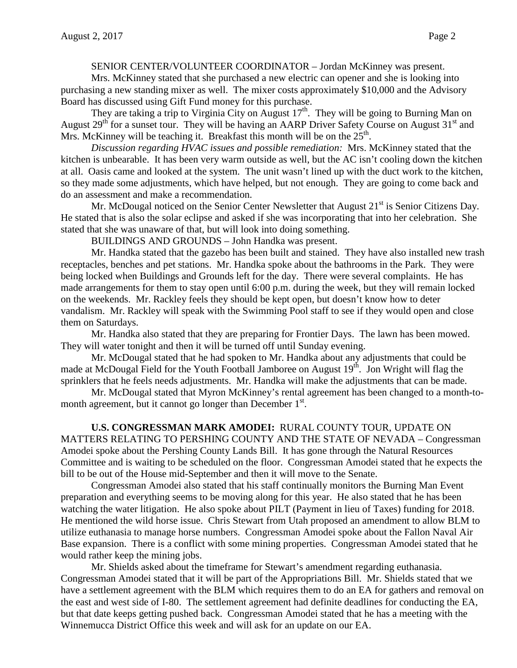#### SENIOR CENTER/VOLUNTEER COORDINATOR – Jordan McKinney was present.

Mrs. McKinney stated that she purchased a new electric can opener and she is looking into purchasing a new standing mixer as well. The mixer costs approximately \$10,000 and the Advisory Board has discussed using Gift Fund money for this purchase.

They are taking a trip to Virginia City on August  $17<sup>th</sup>$ . They will be going to Burning Man on August  $29<sup>th</sup>$  for a sunset tour. They will be having an AARP Driver Safety Course on August  $31<sup>st</sup>$  and Mrs. McKinney will be teaching it. Breakfast this month will be on the  $25<sup>th</sup>$ .

*Discussion regarding HVAC issues and possible remediation:* Mrs. McKinney stated that the kitchen is unbearable. It has been very warm outside as well, but the AC isn't cooling down the kitchen at all. Oasis came and looked at the system. The unit wasn't lined up with the duct work to the kitchen, so they made some adjustments, which have helped, but not enough. They are going to come back and do an assessment and make a recommendation.

Mr. McDougal noticed on the Senior Center Newsletter that August  $21<sup>st</sup>$  is Senior Citizens Day. He stated that is also the solar eclipse and asked if she was incorporating that into her celebration. She stated that she was unaware of that, but will look into doing something.

BUILDINGS AND GROUNDS – John Handka was present.

Mr. Handka stated that the gazebo has been built and stained. They have also installed new trash receptacles, benches and pet stations. Mr. Handka spoke about the bathrooms in the Park. They were being locked when Buildings and Grounds left for the day. There were several complaints. He has made arrangements for them to stay open until 6:00 p.m. during the week, but they will remain locked on the weekends. Mr. Rackley feels they should be kept open, but doesn't know how to deter vandalism. Mr. Rackley will speak with the Swimming Pool staff to see if they would open and close them on Saturdays.

Mr. Handka also stated that they are preparing for Frontier Days. The lawn has been mowed. They will water tonight and then it will be turned off until Sunday evening.

Mr. McDougal stated that he had spoken to Mr. Handka about any adjustments that could be made at McDougal Field for the Youth Football Jamboree on August  $19<sup>th</sup>$ . Jon Wright will flag the sprinklers that he feels needs adjustments. Mr. Handka will make the adjustments that can be made.

Mr. McDougal stated that Myron McKinney's rental agreement has been changed to a month-tomonth agreement, but it cannot go longer than December 1<sup>st</sup>.

**U.S. CONGRESSMAN MARK AMODEI:** RURAL COUNTY TOUR, UPDATE ON MATTERS RELATING TO PERSHING COUNTY AND THE STATE OF NEVADA – Congressman Amodei spoke about the Pershing County Lands Bill. It has gone through the Natural Resources

Committee and is waiting to be scheduled on the floor. Congressman Amodei stated that he expects the bill to be out of the House mid-September and then it will move to the Senate.

Congressman Amodei also stated that his staff continually monitors the Burning Man Event preparation and everything seems to be moving along for this year. He also stated that he has been watching the water litigation. He also spoke about PILT (Payment in lieu of Taxes) funding for 2018. He mentioned the wild horse issue. Chris Stewart from Utah proposed an amendment to allow BLM to utilize euthanasia to manage horse numbers. Congressman Amodei spoke about the Fallon Naval Air Base expansion. There is a conflict with some mining properties. Congressman Amodei stated that he would rather keep the mining jobs.

Mr. Shields asked about the timeframe for Stewart's amendment regarding euthanasia. Congressman Amodei stated that it will be part of the Appropriations Bill. Mr. Shields stated that we have a settlement agreement with the BLM which requires them to do an EA for gathers and removal on the east and west side of I-80. The settlement agreement had definite deadlines for conducting the EA, but that date keeps getting pushed back. Congressman Amodei stated that he has a meeting with the Winnemucca District Office this week and will ask for an update on our EA.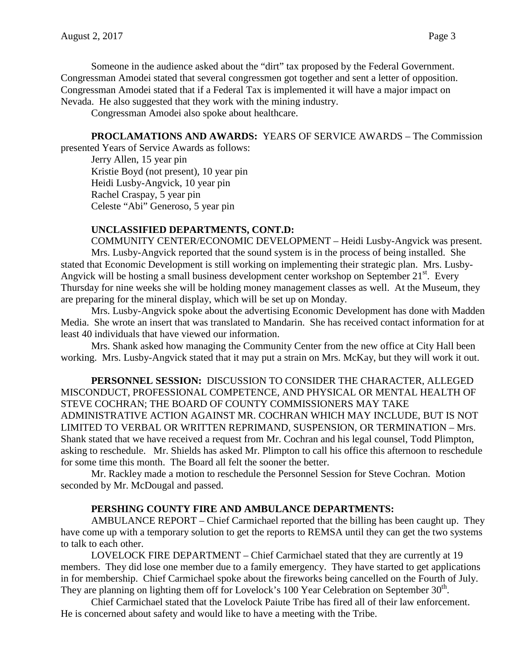Someone in the audience asked about the "dirt" tax proposed by the Federal Government. Congressman Amodei stated that several congressmen got together and sent a letter of opposition. Congressman Amodei stated that if a Federal Tax is implemented it will have a major impact on Nevada. He also suggested that they work with the mining industry.

Congressman Amodei also spoke about healthcare.

**PROCLAMATIONS AND AWARDS:** YEARS OF SERVICE AWARDS – The Commission

presented Years of Service Awards as follows:

Jerry Allen, 15 year pin Kristie Boyd (not present), 10 year pin Heidi Lusby-Angvick, 10 year pin Rachel Craspay, 5 year pin Celeste "Abi" Generoso, 5 year pin

### **UNCLASSIFIED DEPARTMENTS, CONT.D:**

COMMUNITY CENTER/ECONOMIC DEVELOPMENT – Heidi Lusby-Angvick was present. Mrs. Lusby-Angvick reported that the sound system is in the process of being installed. She stated that Economic Development is still working on implementing their strategic plan. Mrs. Lusby-Angvick will be hosting a small business development center workshop on September  $21<sup>st</sup>$ . Every Thursday for nine weeks she will be holding money management classes as well. At the Museum, they are preparing for the mineral display, which will be set up on Monday.

Mrs. Lusby-Angvick spoke about the advertising Economic Development has done with Madden Media. She wrote an insert that was translated to Mandarin. She has received contact information for at least 40 individuals that have viewed our information.

Mrs. Shank asked how managing the Community Center from the new office at City Hall been working. Mrs. Lusby-Angvick stated that it may put a strain on Mrs. McKay, but they will work it out.

**PERSONNEL SESSION:** DISCUSSION TO CONSIDER THE CHARACTER, ALLEGED MISCONDUCT, PROFESSIONAL COMPETENCE, AND PHYSICAL OR MENTAL HEALTH OF STEVE COCHRAN; THE BOARD OF COUNTY COMMISSIONERS MAY TAKE ADMINISTRATIVE ACTION AGAINST MR. COCHRAN WHICH MAY INCLUDE, BUT IS NOT LIMITED TO VERBAL OR WRITTEN REPRIMAND, SUSPENSION, OR TERMINATION – Mrs. Shank stated that we have received a request from Mr. Cochran and his legal counsel, Todd Plimpton, asking to reschedule. Mr. Shields has asked Mr. Plimpton to call his office this afternoon to reschedule for some time this month. The Board all felt the sooner the better.

Mr. Rackley made a motion to reschedule the Personnel Session for Steve Cochran. Motion seconded by Mr. McDougal and passed.

### **PERSHING COUNTY FIRE AND AMBULANCE DEPARTMENTS:**

AMBULANCE REPORT – Chief Carmichael reported that the billing has been caught up. They have come up with a temporary solution to get the reports to REMSA until they can get the two systems to talk to each other.

LOVELOCK FIRE DEPARTMENT – Chief Carmichael stated that they are currently at 19 members. They did lose one member due to a family emergency. They have started to get applications in for membership. Chief Carmichael spoke about the fireworks being cancelled on the Fourth of July. They are planning on lighting them off for Lovelock's 100 Year Celebration on September  $30<sup>th</sup>$ .

Chief Carmichael stated that the Lovelock Paiute Tribe has fired all of their law enforcement. He is concerned about safety and would like to have a meeting with the Tribe.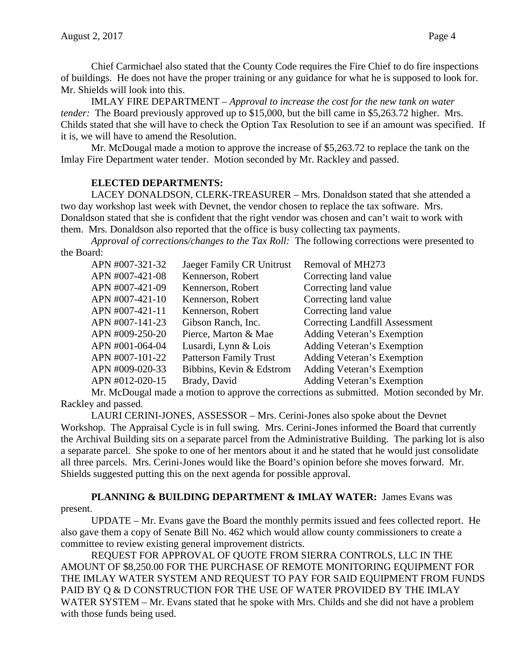Chief Carmichael also stated that the County Code requires the Fire Chief to do fire inspections of buildings. He does not have the proper training or any guidance for what he is supposed to look for. Mr. Shields will look into this.

IMLAY FIRE DEPARTMENT – *Approval to increase the cost for the new tank on water tender:* The Board previously approved up to \$15,000, but the bill came in \$5,263.72 higher. Mrs. Childs stated that she will have to check the Option Tax Resolution to see if an amount was specified. If it is, we will have to amend the Resolution.

Mr. McDougal made a motion to approve the increase of \$5,263.72 to replace the tank on the Imlay Fire Department water tender. Motion seconded by Mr. Rackley and passed.

### **ELECTED DEPARTMENTS:**

LACEY DONALDSON, CLERK-TREASURER – Mrs. Donaldson stated that she attended a two day workshop last week with Devnet, the vendor chosen to replace the tax software. Mrs. Donaldson stated that she is confident that the right vendor was chosen and can't wait to work with them. Mrs. Donaldson also reported that the office is busy collecting tax payments.

*Approval of corrections/changes to the Tax Roll:* The following corrections were presented to the Board:

| APN #007-321-32 | Jaeger Family CR Unitrust     | Removal of MH273                      |
|-----------------|-------------------------------|---------------------------------------|
| APN #007-421-08 | Kennerson, Robert             | Correcting land value                 |
| APN #007-421-09 | Kennerson, Robert             | Correcting land value                 |
| APN #007-421-10 | Kennerson, Robert             | Correcting land value                 |
| APN #007-421-11 | Kennerson, Robert             | Correcting land value                 |
| APN #007-141-23 | Gibson Ranch, Inc.            | <b>Correcting Landfill Assessment</b> |
| APN #009-250-20 | Pierce, Marton & Mae          | <b>Adding Veteran's Exemption</b>     |
| APN #001-064-04 | Lusardi, Lynn & Lois          | <b>Adding Veteran's Exemption</b>     |
| APN #007-101-22 | <b>Patterson Family Trust</b> | <b>Adding Veteran's Exemption</b>     |
| APN #009-020-33 | Bibbins, Kevin & Edstrom      | Adding Veteran's Exemption            |
| APN #012-020-15 | Brady, David                  | <b>Adding Veteran's Exemption</b>     |
|                 |                               |                                       |

Mr. McDougal made a motion to approve the corrections as submitted. Motion seconded by Mr. Rackley and passed.

LAURI CERINI-JONES, ASSESSOR – Mrs. Cerini-Jones also spoke about the Devnet Workshop. The Appraisal Cycle is in full swing. Mrs. Cerini-Jones informed the Board that currently the Archival Building sits on a separate parcel from the Administrative Building. The parking lot is also a separate parcel. She spoke to one of her mentors about it and he stated that he would just consolidate all three parcels. Mrs. Cerini-Jones would like the Board's opinion before she moves forward. Mr. Shields suggested putting this on the next agenda for possible approval.

#### PLANNING & BUILDING DEPARTMENT & IMLAY WATER: James Evans was present.

UPDATE – Mr. Evans gave the Board the monthly permits issued and fees collected report. He also gave them a copy of Senate Bill No. 462 which would allow county commissioners to create a committee to review existing general improvement districts.

REQUEST FOR APPROVAL OF QUOTE FROM SIERRA CONTROLS, LLC IN THE AMOUNT OF \$8,250.00 FOR THE PURCHASE OF REMOTE MONITORING EQUIPMENT FOR THE IMLAY WATER SYSTEM AND REQUEST TO PAY FOR SAID EQUIPMENT FROM FUNDS PAID BY Q & D CONSTRUCTION FOR THE USE OF WATER PROVIDED BY THE IMLAY WATER SYSTEM – Mr. Evans stated that he spoke with Mrs. Childs and she did not have a problem with those funds being used.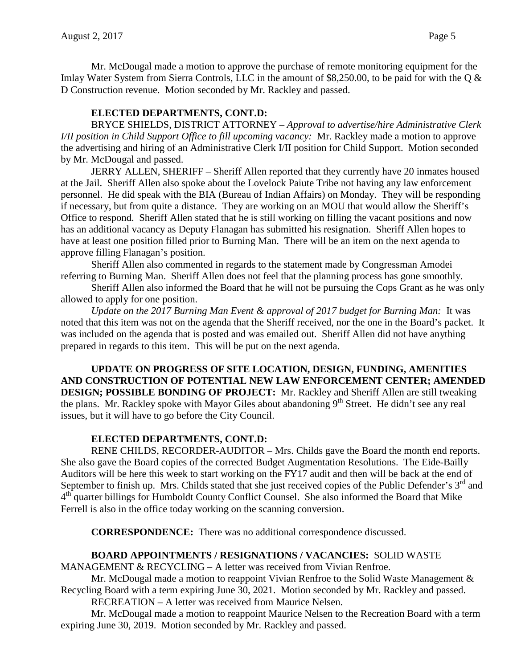Mr. McDougal made a motion to approve the purchase of remote monitoring equipment for the Imlay Water System from Sierra Controls, LLC in the amount of \$8,250.00, to be paid for with the Q & D Construction revenue. Motion seconded by Mr. Rackley and passed.

### **ELECTED DEPARTMENTS, CONT.D:**

BRYCE SHIELDS, DISTRICT ATTORNEY – *Approval to advertise/hire Administrative Clerk I/II position in Child Support Office to fill upcoming vacancy:* Mr. Rackley made a motion to approve the advertising and hiring of an Administrative Clerk I/II position for Child Support. Motion seconded by Mr. McDougal and passed.

JERRY ALLEN, SHERIFF – Sheriff Allen reported that they currently have 20 inmates housed at the Jail. Sheriff Allen also spoke about the Lovelock Paiute Tribe not having any law enforcement personnel. He did speak with the BIA (Bureau of Indian Affairs) on Monday. They will be responding if necessary, but from quite a distance. They are working on an MOU that would allow the Sheriff's Office to respond. Sheriff Allen stated that he is still working on filling the vacant positions and now has an additional vacancy as Deputy Flanagan has submitted his resignation. Sheriff Allen hopes to have at least one position filled prior to Burning Man. There will be an item on the next agenda to approve filling Flanagan's position.

Sheriff Allen also commented in regards to the statement made by Congressman Amodei referring to Burning Man. Sheriff Allen does not feel that the planning process has gone smoothly.

Sheriff Allen also informed the Board that he will not be pursuing the Cops Grant as he was only allowed to apply for one position.

*Update on the 2017 Burning Man Event & approval of 2017 budget for Burning Man:* It was noted that this item was not on the agenda that the Sheriff received, nor the one in the Board's packet. It was included on the agenda that is posted and was emailed out. Sheriff Allen did not have anything prepared in regards to this item. This will be put on the next agenda.

**UPDATE ON PROGRESS OF SITE LOCATION, DESIGN, FUNDING, AMENITIES AND CONSTRUCTION OF POTENTIAL NEW LAW ENFORCEMENT CENTER; AMENDED DESIGN; POSSIBLE BONDING OF PROJECT:** Mr. Rackley and Sheriff Allen are still tweaking the plans. Mr. Rackley spoke with Mayor Giles about abandoning  $9<sup>th</sup>$  Street. He didn't see any real issues, but it will have to go before the City Council.

### **ELECTED DEPARTMENTS, CONT.D:**

RENE CHILDS, RECORDER-AUDITOR – Mrs. Childs gave the Board the month end reports. She also gave the Board copies of the corrected Budget Augmentation Resolutions. The Eide-Bailly Auditors will be here this week to start working on the FY17 audit and then will be back at the end of September to finish up. Mrs. Childs stated that she just received copies of the Public Defender's 3<sup>rd</sup> and  $4<sup>th</sup>$  quarter billings for Humboldt County Conflict Counsel. She also informed the Board that Mike Ferrell is also in the office today working on the scanning conversion.

**CORRESPONDENCE:** There was no additional correspondence discussed.

### **BOARD APPOINTMENTS / RESIGNATIONS / VACANCIES:** SOLID WASTE

MANAGEMENT & RECYCLING – A letter was received from Vivian Renfroe.

Mr. McDougal made a motion to reappoint Vivian Renfroe to the Solid Waste Management  $\&$ Recycling Board with a term expiring June 30, 2021. Motion seconded by Mr. Rackley and passed.

RECREATION – A letter was received from Maurice Nelsen.

Mr. McDougal made a motion to reappoint Maurice Nelsen to the Recreation Board with a term expiring June 30, 2019. Motion seconded by Mr. Rackley and passed.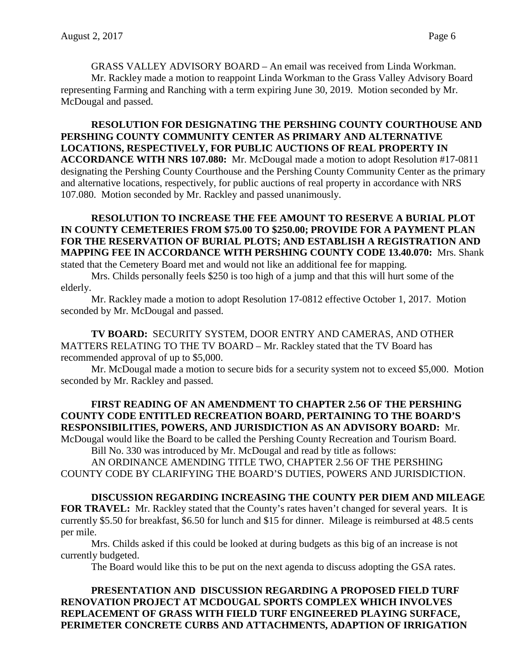GRASS VALLEY ADVISORY BOARD – An email was received from Linda Workman. Mr. Rackley made a motion to reappoint Linda Workman to the Grass Valley Advisory Board representing Farming and Ranching with a term expiring June 30, 2019. Motion seconded by Mr. McDougal and passed.

**RESOLUTION FOR DESIGNATING THE PERSHING COUNTY COURTHOUSE AND PERSHING COUNTY COMMUNITY CENTER AS PRIMARY AND ALTERNATIVE LOCATIONS, RESPECTIVELY, FOR PUBLIC AUCTIONS OF REAL PROPERTY IN ACCORDANCE WITH NRS 107.080:** Mr. McDougal made a motion to adopt Resolution #17-0811 designating the Pershing County Courthouse and the Pershing County Community Center as the primary and alternative locations, respectively, for public auctions of real property in accordance with NRS 107.080. Motion seconded by Mr. Rackley and passed unanimously.

#### **RESOLUTION TO INCREASE THE FEE AMOUNT TO RESERVE A BURIAL PLOT IN COUNTY CEMETERIES FROM \$75.00 TO \$250.00; PROVIDE FOR A PAYMENT PLAN FOR THE RESERVATION OF BURIAL PLOTS; AND ESTABLISH A REGISTRATION AND MAPPING FEE IN ACCORDANCE WITH PERSHING COUNTY CODE 13.40.070:** Mrs. Shank stated that the Cemetery Board met and would not like an additional fee for mapping.

Mrs. Childs personally feels \$250 is too high of a jump and that this will hurt some of the elderly.

Mr. Rackley made a motion to adopt Resolution 17-0812 effective October 1, 2017. Motion seconded by Mr. McDougal and passed.

**TV BOARD:** SECURITY SYSTEM, DOOR ENTRY AND CAMERAS, AND OTHER MATTERS RELATING TO THE TV BOARD – Mr. Rackley stated that the TV Board has recommended approval of up to \$5,000.

Mr. McDougal made a motion to secure bids for a security system not to exceed \$5,000. Motion seconded by Mr. Rackley and passed.

# **FIRST READING OF AN AMENDMENT TO CHAPTER 2.56 OF THE PERSHING COUNTY CODE ENTITLED RECREATION BOARD, PERTAINING TO THE BOARD'S RESPONSIBILITIES, POWERS, AND JURISDICTION AS AN ADVISORY BOARD:** Mr.

McDougal would like the Board to be called the Pershing County Recreation and Tourism Board. Bill No. 330 was introduced by Mr. McDougal and read by title as follows:

AN ORDINANCE AMENDING TITLE TWO, CHAPTER 2.56 OF THE PERSHING COUNTY CODE BY CLARIFYING THE BOARD'S DUTIES, POWERS AND JURISDICTION.

### **DISCUSSION REGARDING INCREASING THE COUNTY PER DIEM AND MILEAGE**

**FOR TRAVEL:** Mr. Rackley stated that the County's rates haven't changed for several years. It is currently \$5.50 for breakfast, \$6.50 for lunch and \$15 for dinner. Mileage is reimbursed at 48.5 cents per mile.

Mrs. Childs asked if this could be looked at during budgets as this big of an increase is not currently budgeted.

The Board would like this to be put on the next agenda to discuss adopting the GSA rates.

**PRESENTATION AND DISCUSSION REGARDING A PROPOSED FIELD TURF RENOVATION PROJECT AT MCDOUGAL SPORTS COMPLEX WHICH INVOLVES REPLACEMENT OF GRASS WITH FIELD TURF ENGINEERED PLAYING SURFACE, PERIMETER CONCRETE CURBS AND ATTACHMENTS, ADAPTION OF IRRIGATION**